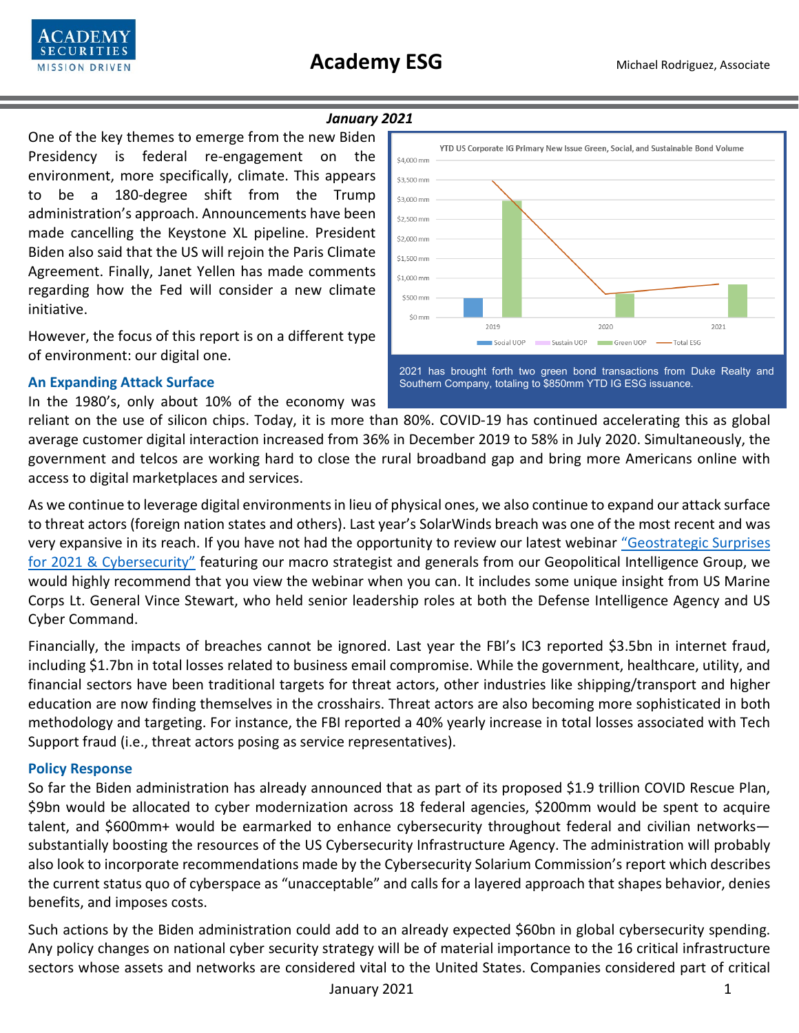



#### *January 2021*

One of the key themes to emerge from the new Biden Presidency is federal re-engagement on the environment, more specifically, climate. This appears to be a 180-degree shift from the Trump administration's approach. Announcements have been made cancelling the Keystone XL pipeline. President Biden also said that the US will rejoin the Paris Climate Agreement. Finally, Janet Yellen has made comments regarding how the Fed will consider a new climate initiative.

However, the focus of this report is on a different type of environment: our digital one.

### **An Expanding Attack Surface**

In the 1980's, only about 10% of the economy was



2021 has brought forth two green bond transactions from Duke Realty and Southern Company, totaling to \$850mm YTD IG ESG issuance.

reliant on the use of silicon chips. Today, it is more than 80%. COVID-19 has continued accelerating this as global average customer digital interaction increased from 36% in December 2019 to 58% in July 2020. Simultaneously, the government and telcos are working hard to close the rural broadband gap and bring more Americans online with access to digital marketplaces and services.

As we continue to leverage digital environments in lieu of physical ones, we also continue to expand our attack surface to threat actors (foreign nation states and others). Last year's SolarWinds breach was one of the most recent and was very expansive in its reach. If you have not had the opportunity to review our latest webinar ["Geostrategic Surprises](https://www.youtube.com/watch?v=Hy_uByRAPos&feature=youtu.be)  for 2021 [& Cybersecurity"](https://www.youtube.com/watch?v=Hy_uByRAPos&feature=youtu.be) featuring our macro strategist and generals from our Geopolitical Intelligence Group, we would highly recommend that you view the webinar when you can. It includes some unique insight from US Marine Corps Lt. General Vince Stewart, who held senior leadership roles at both the Defense Intelligence Agency and US Cyber Command.

Financially, the impacts of breaches cannot be ignored. Last year the FBI's IC3 reported \$3.5bn in internet fraud, including \$1.7bn in total losses related to business email compromise. While the government, healthcare, utility, and financial sectors have been traditional targets for threat actors, other industries like shipping/transport and higher education are now finding themselves in the crosshairs. Threat actors are also becoming more sophisticated in both methodology and targeting. For instance, the FBI reported a 40% yearly increase in total losses associated with Tech Support fraud (i.e., threat actors posing as service representatives).

# **Policy Response**

So far the Biden administration has already announced that as part of its proposed \$1.9 trillion COVID Rescue Plan, \$9bn would be allocated to cyber modernization across 18 federal agencies, \$200mm would be spent to acquire talent, and \$600mm+ would be earmarked to enhance cybersecurity throughout federal and civilian networks substantially boosting the resources of the US Cybersecurity Infrastructure Agency. The administration will probably also look to incorporate recommendations made by the Cybersecurity Solarium Commission's report which describes the current status quo of cyberspace as "unacceptable" and calls for a layered approach that shapes behavior, denies benefits, and imposes costs.

Such actions by the Biden administration could add to an already expected \$60bn in global cybersecurity spending. Any policy changes on national cyber security strategy will be of material importance to the 16 critical infrastructure sectors whose assets and networks are considered vital to the United States. Companies considered part of critical